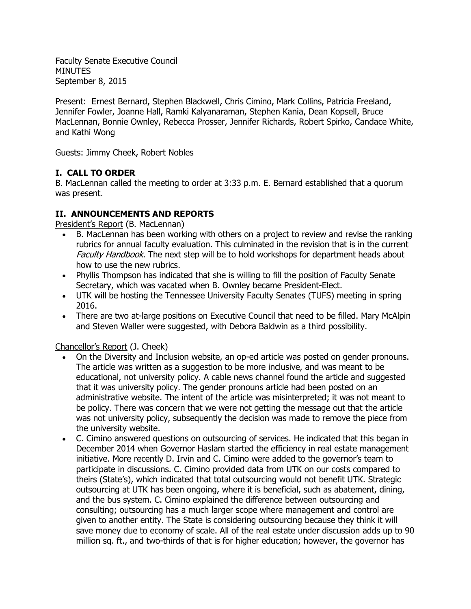Faculty Senate Executive Council MINUTES September 8, 2015

Present: Ernest Bernard, Stephen Blackwell, Chris Cimino, Mark Collins, Patricia Freeland, Jennifer Fowler, Joanne Hall, Ramki Kalyanaraman, Stephen Kania, Dean Kopsell, Bruce MacLennan, Bonnie Ownley, Rebecca Prosser, Jennifer Richards, Robert Spirko, Candace White, and Kathi Wong

Guests: Jimmy Cheek, Robert Nobles

# **I. CALL TO ORDER**

B. MacLennan called the meeting to order at 3:33 p.m. E. Bernard established that a quorum was present.

# **II. ANNOUNCEMENTS AND REPORTS**

President's Report (B. MacLennan)

- B. MacLennan has been working with others on a project to review and revise the ranking rubrics for annual faculty evaluation. This culminated in the revision that is in the current Faculty Handbook. The next step will be to hold workshops for department heads about how to use the new rubrics.
- Phyllis Thompson has indicated that she is willing to fill the position of Faculty Senate Secretary, which was vacated when B. Ownley became President-Elect.
- UTK will be hosting the Tennessee University Faculty Senates (TUFS) meeting in spring 2016.
- There are two at-large positions on Executive Council that need to be filled. Mary McAlpin and Steven Waller were suggested, with Debora Baldwin as a third possibility.

### Chancellor's Report (J. Cheek)

- On the Diversity and Inclusion website, an op-ed article was posted on gender pronouns. The article was written as a suggestion to be more inclusive, and was meant to be educational, not university policy. A cable news channel found the article and suggested that it was university policy. The gender pronouns article had been posted on an administrative website. The intent of the article was misinterpreted; it was not meant to be policy. There was concern that we were not getting the message out that the article was not university policy, subsequently the decision was made to remove the piece from the university website.
- C. Cimino answered questions on outsourcing of services. He indicated that this began in December 2014 when Governor Haslam started the efficiency in real estate management initiative. More recently D. Irvin and C. Cimino were added to the governor's team to participate in discussions. C. Cimino provided data from UTK on our costs compared to theirs (State's), which indicated that total outsourcing would not benefit UTK. Strategic outsourcing at UTK has been ongoing, where it is beneficial, such as abatement, dining, and the bus system. C. Cimino explained the difference between outsourcing and consulting; outsourcing has a much larger scope where management and control are given to another entity. The State is considering outsourcing because they think it will save money due to economy of scale. All of the real estate under discussion adds up to 90 million sq. ft., and two-thirds of that is for higher education; however, the governor has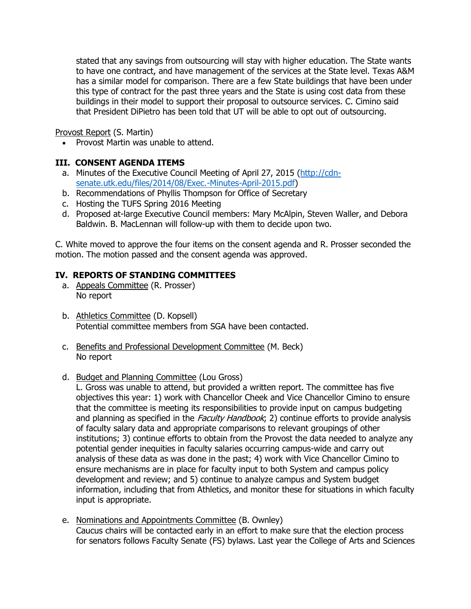stated that any savings from outsourcing will stay with higher education. The State wants to have one contract, and have management of the services at the State level. Texas A&M has a similar model for comparison. There are a few State buildings that have been under this type of contract for the past three years and the State is using cost data from these buildings in their model to support their proposal to outsource services. C. Cimino said that President DiPietro has been told that UT will be able to opt out of outsourcing.

Provost Report (S. Martin)

Provost Martin was unable to attend.

## **III. CONSENT AGENDA ITEMS**

- a. Minutes of the Executive Council Meeting of April 27, 2015 [\(http://cdn](http://cdn-senate.utk.edu/files/2014/08/Exec.-Minutes-April-2015.pdf)[senate.utk.edu/files/2014/08/Exec.-Minutes-April-2015.pdf\)](http://cdn-senate.utk.edu/files/2014/08/Exec.-Minutes-April-2015.pdf)
- b. Recommendations of Phyllis Thompson for Office of Secretary
- c. Hosting the TUFS Spring 2016 Meeting
- d. Proposed at-large Executive Council members: Mary McAlpin, Steven Waller, and Debora Baldwin. B. MacLennan will follow-up with them to decide upon two.

C. White moved to approve the four items on the consent agenda and R. Prosser seconded the motion. The motion passed and the consent agenda was approved.

## **IV. REPORTS OF STANDING COMMITTEES**

- a. Appeals Committee (R. Prosser) No report
- b. Athletics Committee (D. Kopsell) Potential committee members from SGA have been contacted.
- c. Benefits and Professional Development Committee (M. Beck) No report
- d. Budget and Planning Committee (Lou Gross)

L. Gross was unable to attend, but provided a written report. The committee has five objectives this year: 1) work with Chancellor Cheek and Vice Chancellor Cimino to ensure that the committee is meeting its responsibilities to provide input on campus budgeting and planning as specified in the Faculty Handbook; 2) continue efforts to provide analysis of faculty salary data and appropriate comparisons to relevant groupings of other institutions; 3) continue efforts to obtain from the Provost the data needed to analyze any potential gender inequities in faculty salaries occurring campus-wide and carry out analysis of these data as was done in the past; 4) work with Vice Chancellor Cimino to ensure mechanisms are in place for faculty input to both System and campus policy development and review; and 5) continue to analyze campus and System budget information, including that from Athletics, and monitor these for situations in which faculty input is appropriate.

e. Nominations and Appointments Committee (B. Ownley) Caucus chairs will be contacted early in an effort to make sure that the election process for senators follows Faculty Senate (FS) bylaws. Last year the College of Arts and Sciences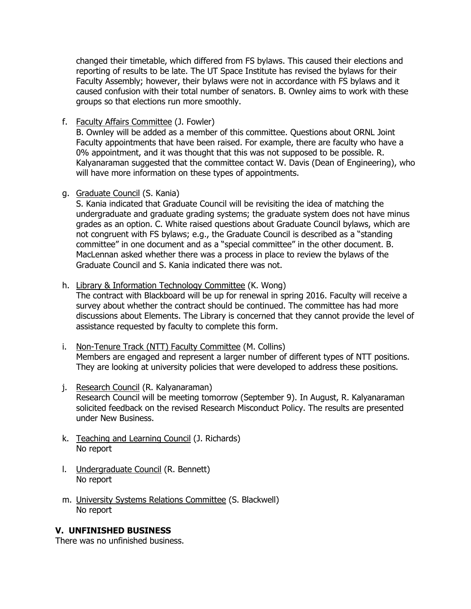changed their timetable, which differed from FS bylaws. This caused their elections and reporting of results to be late. The UT Space Institute has revised the bylaws for their Faculty Assembly; however, their bylaws were not in accordance with FS bylaws and it caused confusion with their total number of senators. B. Ownley aims to work with these groups so that elections run more smoothly.

f. Faculty Affairs Committee (J. Fowler)

B. Ownley will be added as a member of this committee. Questions about ORNL Joint Faculty appointments that have been raised. For example, there are faculty who have a 0% appointment, and it was thought that this was not supposed to be possible. R. Kalyanaraman suggested that the committee contact W. Davis (Dean of Engineering), who will have more information on these types of appointments.

g. Graduate Council (S. Kania)

S. Kania indicated that Graduate Council will be revisiting the idea of matching the undergraduate and graduate grading systems; the graduate system does not have minus grades as an option. C. White raised questions about Graduate Council bylaws, which are not congruent with FS bylaws; e.g., the Graduate Council is described as a "standing committee" in one document and as a "special committee" in the other document. B. MacLennan asked whether there was a process in place to review the bylaws of the Graduate Council and S. Kania indicated there was not.

h. Library & Information Technology Committee (K. Wong)

The contract with Blackboard will be up for renewal in spring 2016. Faculty will receive a survey about whether the contract should be continued. The committee has had more discussions about Elements. The Library is concerned that they cannot provide the level of assistance requested by faculty to complete this form.

- i. Non-Tenure Track (NTT) Faculty Committee (M. Collins) Members are engaged and represent a larger number of different types of NTT positions. They are looking at university policies that were developed to address these positions.
- j. Research Council (R. Kalyanaraman) Research Council will be meeting tomorrow (September 9). In August, R. Kalyanaraman solicited feedback on the revised Research Misconduct Policy. The results are presented under New Business.
- k. Teaching and Learning Council (J. Richards) No report
- l. Undergraduate Council (R. Bennett) No report
- m. University Systems Relations Committee (S. Blackwell) No report

### **V. UNFINISHED BUSINESS**

There was no unfinished business.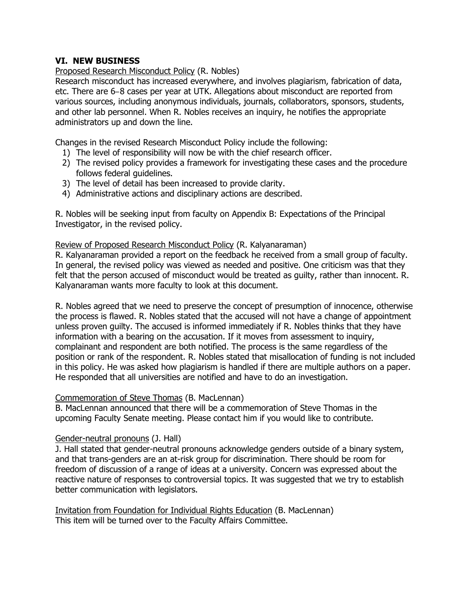### **VI. NEW BUSINESS**

Proposed Research Misconduct Policy (R. Nobles)

Research misconduct has increased everywhere, and involves plagiarism, fabrication of data, etc. There are 6‒8 cases per year at UTK. Allegations about misconduct are reported from various sources, including anonymous individuals, journals, collaborators, sponsors, students, and other lab personnel. When R. Nobles receives an inquiry, he notifies the appropriate administrators up and down the line.

Changes in the revised Research Misconduct Policy include the following:

- 1) The level of responsibility will now be with the chief research officer.
- 2) The revised policy provides a framework for investigating these cases and the procedure follows federal guidelines.
- 3) The level of detail has been increased to provide clarity.
- 4) Administrative actions and disciplinary actions are described.

R. Nobles will be seeking input from faculty on Appendix B: Expectations of the Principal Investigator, in the revised policy.

Review of Proposed Research Misconduct Policy (R. Kalyanaraman)

R. Kalyanaraman provided a report on the feedback he received from a small group of faculty. In general, the revised policy was viewed as needed and positive. One criticism was that they felt that the person accused of misconduct would be treated as guilty, rather than innocent. R. Kalyanaraman wants more faculty to look at this document.

R. Nobles agreed that we need to preserve the concept of presumption of innocence, otherwise the process is flawed. R. Nobles stated that the accused will not have a change of appointment unless proven guilty. The accused is informed immediately if R. Nobles thinks that they have information with a bearing on the accusation. If it moves from assessment to inquiry, complainant and respondent are both notified. The process is the same regardless of the position or rank of the respondent. R. Nobles stated that misallocation of funding is not included in this policy. He was asked how plagiarism is handled if there are multiple authors on a paper. He responded that all universities are notified and have to do an investigation.

#### Commemoration of Steve Thomas (B. MacLennan)

B. MacLennan announced that there will be a commemoration of Steve Thomas in the upcoming Faculty Senate meeting. Please contact him if you would like to contribute.

#### Gender-neutral pronouns (J. Hall)

J. Hall stated that gender-neutral pronouns acknowledge genders outside of a binary system, and that trans-genders are an at-risk group for discrimination. There should be room for freedom of discussion of a range of ideas at a university. Concern was expressed about the reactive nature of responses to controversial topics. It was suggested that we try to establish better communication with legislators.

Invitation from Foundation for Individual Rights Education (B. MacLennan) This item will be turned over to the Faculty Affairs Committee.